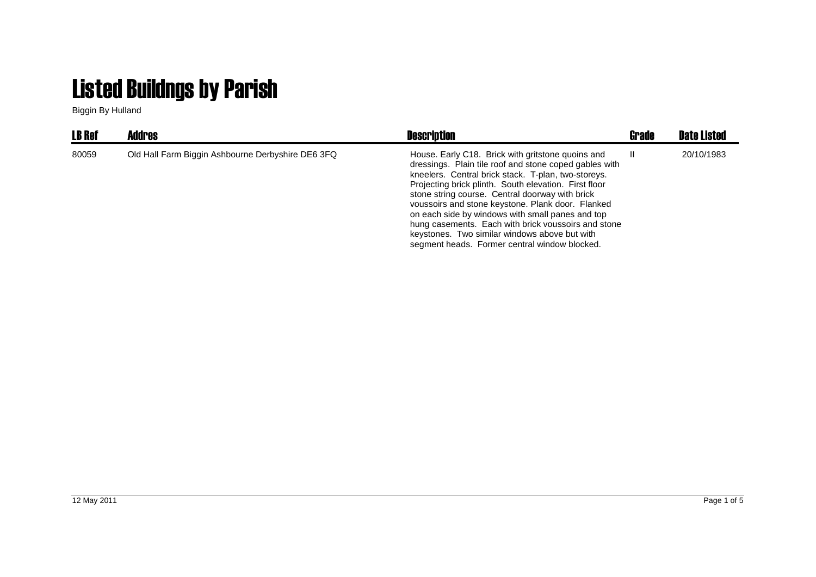## Listed Buildngs by Parish

Biggin By Hulland

| <b>LB Ref</b> | <b>Addres</b>                                     | <b>Description</b>                                                                                                                                                                                                                                                                                                                                                                                                                                                                                                                               | Grade | <b>Date Listed</b> |
|---------------|---------------------------------------------------|--------------------------------------------------------------------------------------------------------------------------------------------------------------------------------------------------------------------------------------------------------------------------------------------------------------------------------------------------------------------------------------------------------------------------------------------------------------------------------------------------------------------------------------------------|-------|--------------------|
| 80059         | Old Hall Farm Biggin Ashbourne Derbyshire DE6 3FQ | House. Early C18. Brick with gritstone quoins and<br>dressings. Plain tile roof and stone coped gables with<br>kneelers. Central brick stack. T-plan, two-storeys.<br>Projecting brick plinth. South elevation. First floor<br>stone string course. Central doorway with brick<br>voussoirs and stone keystone. Plank door. Flanked<br>on each side by windows with small panes and top<br>hung casements. Each with brick voussoirs and stone<br>keystones. Two similar windows above but with<br>segment heads. Former central window blocked. | Ш.    | 20/10/1983         |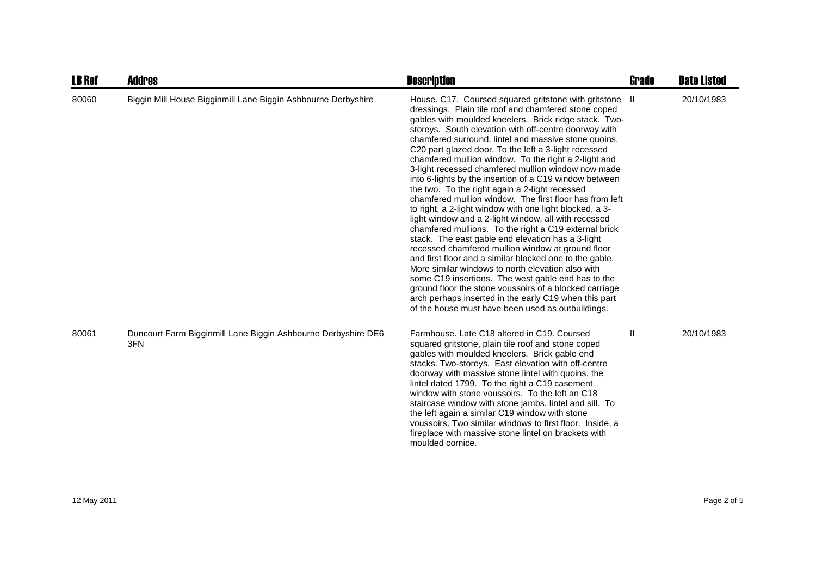| <b>LB Ref</b> | <b>Addres</b>                                                        | <b>Description</b>                                                                                                                                                                                                                                                                                                                                                                                                                                                                                                                                                                                                                                                                                                                                                                                                                                                                                                                                                                                                                                                                                                                                                                                                                                                         | <b>Grade</b> | <b>Date Listed</b> |
|---------------|----------------------------------------------------------------------|----------------------------------------------------------------------------------------------------------------------------------------------------------------------------------------------------------------------------------------------------------------------------------------------------------------------------------------------------------------------------------------------------------------------------------------------------------------------------------------------------------------------------------------------------------------------------------------------------------------------------------------------------------------------------------------------------------------------------------------------------------------------------------------------------------------------------------------------------------------------------------------------------------------------------------------------------------------------------------------------------------------------------------------------------------------------------------------------------------------------------------------------------------------------------------------------------------------------------------------------------------------------------|--------------|--------------------|
| 80060         | Biggin Mill House Bigginmill Lane Biggin Ashbourne Derbyshire        | House. C17. Coursed squared gritstone with gritstone II<br>dressings. Plain tile roof and chamfered stone coped<br>gables with moulded kneelers. Brick ridge stack. Two-<br>storeys. South elevation with off-centre doorway with<br>chamfered surround, lintel and massive stone quoins.<br>C20 part glazed door. To the left a 3-light recessed<br>chamfered mullion window. To the right a 2-light and<br>3-light recessed chamfered mullion window now made<br>into 6-lights by the insertion of a C19 window between<br>the two. To the right again a 2-light recessed<br>chamfered mullion window. The first floor has from left<br>to right, a 2-light window with one light blocked, a 3-<br>light window and a 2-light window, all with recessed<br>chamfered mullions. To the right a C19 external brick<br>stack. The east gable end elevation has a 3-light<br>recessed chamfered mullion window at ground floor<br>and first floor and a similar blocked one to the gable.<br>More similar windows to north elevation also with<br>some C19 insertions. The west gable end has to the<br>ground floor the stone voussoirs of a blocked carriage<br>arch perhaps inserted in the early C19 when this part<br>of the house must have been used as outbuildings. |              | 20/10/1983         |
| 80061         | Duncourt Farm Bigginmill Lane Biggin Ashbourne Derbyshire DE6<br>3FN | Farmhouse, Late C18 altered in C19, Coursed<br>squared gritstone, plain tile roof and stone coped<br>gables with moulded kneelers. Brick gable end<br>stacks. Two-storeys. East elevation with off-centre<br>doorway with massive stone lintel with quoins, the<br>lintel dated 1799. To the right a C19 casement<br>window with stone voussoirs. To the left an C18<br>staircase window with stone jambs, lintel and sill. To<br>the left again a similar C19 window with stone<br>voussoirs. Two similar windows to first floor. Inside, a<br>fireplace with massive stone lintel on brackets with<br>moulded cornice.                                                                                                                                                                                                                                                                                                                                                                                                                                                                                                                                                                                                                                                   | $\mathsf{I}$ | 20/10/1983         |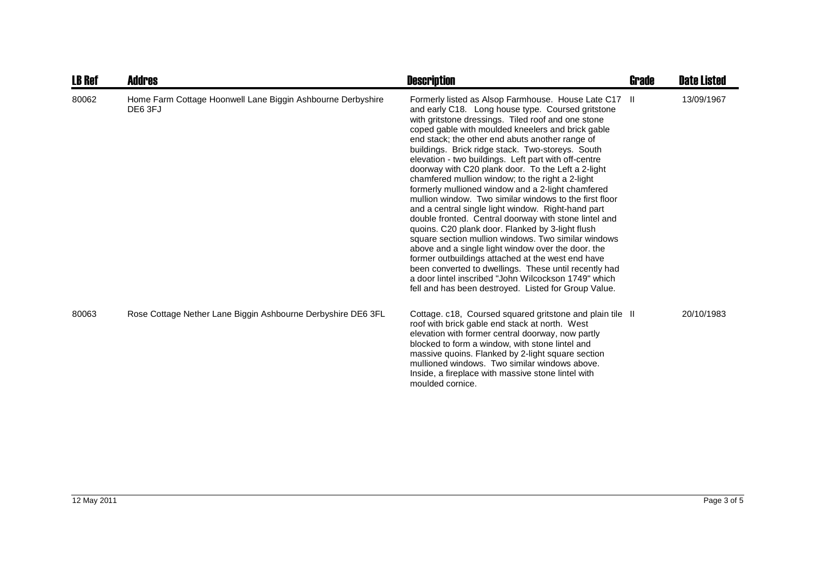| <b>LB Ref</b> | <b>Addres</b>                                                          | <b>Description</b>                                                                                                                                                                                                                                                                                                                                                                                                                                                                                                                                                                                                                                                                                                                                                                                                                                                                                                                                                                                                                                                                                                          | Grade | <b>Date Listed</b> |
|---------------|------------------------------------------------------------------------|-----------------------------------------------------------------------------------------------------------------------------------------------------------------------------------------------------------------------------------------------------------------------------------------------------------------------------------------------------------------------------------------------------------------------------------------------------------------------------------------------------------------------------------------------------------------------------------------------------------------------------------------------------------------------------------------------------------------------------------------------------------------------------------------------------------------------------------------------------------------------------------------------------------------------------------------------------------------------------------------------------------------------------------------------------------------------------------------------------------------------------|-------|--------------------|
| 80062         | Home Farm Cottage Hoonwell Lane Biggin Ashbourne Derbyshire<br>DE6 3FJ | Formerly listed as Alsop Farmhouse. House Late C17 II<br>and early C18. Long house type. Coursed gritstone<br>with gritstone dressings. Tiled roof and one stone<br>coped gable with moulded kneelers and brick gable<br>end stack; the other end abuts another range of<br>buildings. Brick ridge stack. Two-storeys. South<br>elevation - two buildings. Left part with off-centre<br>doorway with C20 plank door. To the Left a 2-light<br>chamfered mullion window; to the right a 2-light<br>formerly mullioned window and a 2-light chamfered<br>mullion window. Two similar windows to the first floor<br>and a central single light window. Right-hand part<br>double fronted. Central doorway with stone lintel and<br>quoins. C20 plank door. Flanked by 3-light flush<br>square section mullion windows. Two similar windows<br>above and a single light window over the door, the<br>former outbuildings attached at the west end have<br>been converted to dwellings. These until recently had<br>a door lintel inscribed "John Wilcockson 1749" which<br>fell and has been destroyed. Listed for Group Value. |       | 13/09/1967         |
| 80063         | Rose Cottage Nether Lane Biggin Ashbourne Derbyshire DE6 3FL           | Cottage. c18, Coursed squared gritstone and plain tile II<br>roof with brick gable end stack at north. West<br>elevation with former central doorway, now partly<br>blocked to form a window, with stone lintel and<br>massive quoins. Flanked by 2-light square section<br>mullioned windows. Two similar windows above.<br>Inside, a fireplace with massive stone lintel with<br>moulded cornice.                                                                                                                                                                                                                                                                                                                                                                                                                                                                                                                                                                                                                                                                                                                         |       | 20/10/1983         |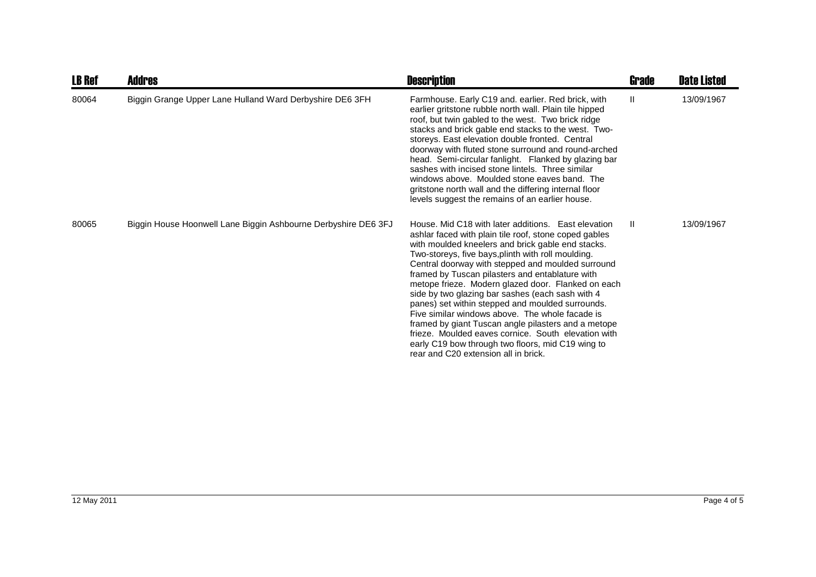| <b>LB Ref</b> | Addres                                                         | <b>Description</b>                                                                                                                                                                                                                                                                                                                                                                                                                                                                                                                                                                                                                                                                                                                                          | Grade        | <b>Date Listed</b> |
|---------------|----------------------------------------------------------------|-------------------------------------------------------------------------------------------------------------------------------------------------------------------------------------------------------------------------------------------------------------------------------------------------------------------------------------------------------------------------------------------------------------------------------------------------------------------------------------------------------------------------------------------------------------------------------------------------------------------------------------------------------------------------------------------------------------------------------------------------------------|--------------|--------------------|
| 80064         | Biggin Grange Upper Lane Hulland Ward Derbyshire DE6 3FH       | Farmhouse. Early C19 and. earlier. Red brick, with<br>earlier gritstone rubble north wall. Plain tile hipped<br>roof, but twin gabled to the west. Two brick ridge<br>stacks and brick gable end stacks to the west. Two-<br>storeys. East elevation double fronted. Central<br>doorway with fluted stone surround and round-arched<br>head. Semi-circular fanlight. Flanked by glazing bar<br>sashes with incised stone lintels. Three similar<br>windows above. Moulded stone eaves band. The<br>gritstone north wall and the differing internal floor<br>levels suggest the remains of an earlier house.                                                                                                                                                 | $\mathbf{H}$ | 13/09/1967         |
| 80065         | Biggin House Hoonwell Lane Biggin Ashbourne Derbyshire DE6 3FJ | House, Mid C18 with later additions. East elevation<br>ashlar faced with plain tile roof, stone coped gables<br>with moulded kneelers and brick gable end stacks.<br>Two-storeys, five bays, plinth with roll moulding.<br>Central doorway with stepped and moulded surround<br>framed by Tuscan pilasters and entablature with<br>metope frieze. Modern glazed door. Flanked on each<br>side by two glazing bar sashes (each sash with 4<br>panes) set within stepped and moulded surrounds.<br>Five similar windows above. The whole facade is<br>framed by giant Tuscan angle pilasters and a metope<br>frieze. Moulded eaves cornice. South elevation with<br>early C19 bow through two floors, mid C19 wing to<br>rear and C20 extension all in brick. | $\mathbf{I}$ | 13/09/1967         |